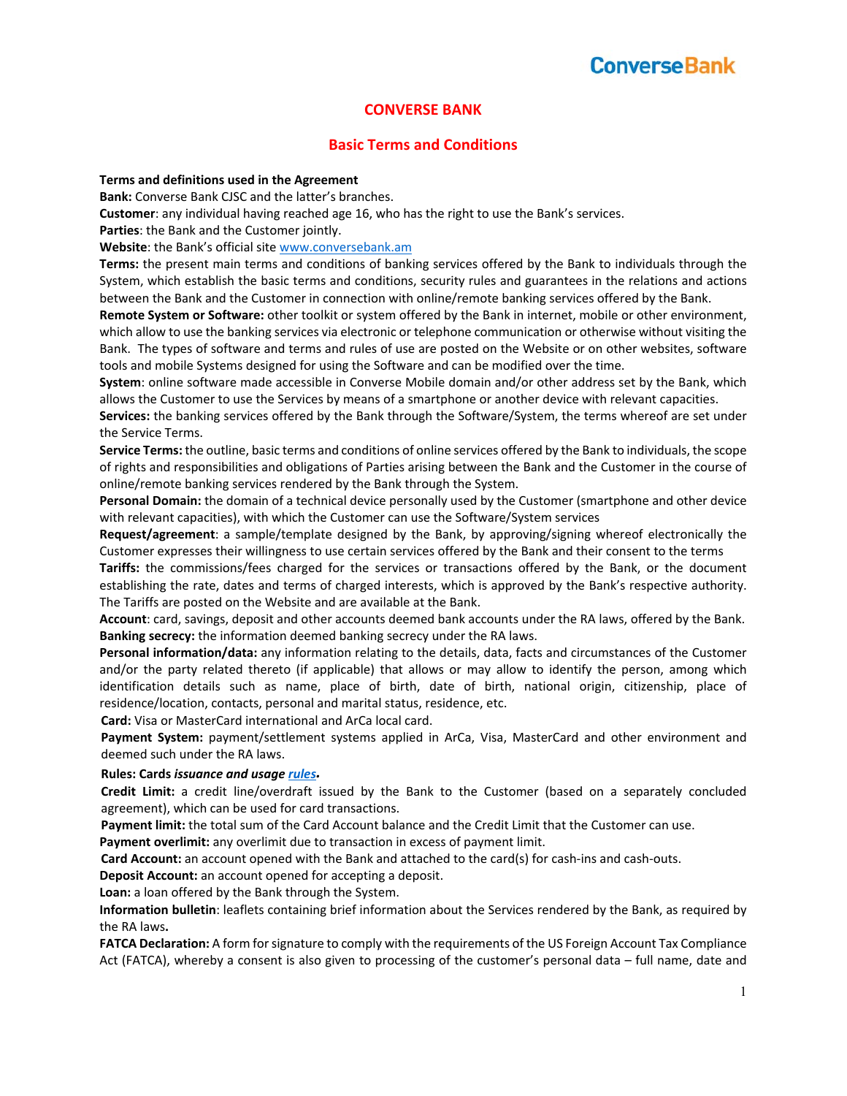### **CONVERSE BANK**

### **Basic Terms and Conditions**

#### **Terms and definitions used in the Agreement**

**Bank:** Converse Bank CJSC and the latter's branches.

**Customer**: any individual having reached age 16, who has the right to use the Bank's services.

**Parties**: the Bank and the Customer jointly.

**Website**: the Bank's official site www.conversebank.am

**Terms:** the present main terms and conditions of banking services offered by the Bank to individuals through the System, which establish the basic terms and conditions, security rules and guarantees in the relations and actions between the Bank and the Customer in connection with online/remote banking services offered by the Bank.

**Remote System or Software:** other toolkit or system offered by the Bank in internet, mobile or other environment, which allow to use the banking services via electronic or telephone communication or otherwise without visiting the Bank. The types of software and terms and rules of use are posted on the Website or on other websites, software tools and mobile Systems designed for using the Software and can be modified over the time.

**System**: online software made accessible in Converse Mobile domain and/or other address set by the Bank, which allows the Customer to use the Services by means of a smartphone or another device with relevant capacities.

**Services:** the banking services offered by the Bank through the Software/System, the terms whereof are set under the Service Terms.

**Service Terms:** the outline, basic terms and conditions of online services offered by the Bank to individuals, the scope of rights and responsibilities and obligations of Parties arising between the Bank and the Customer in the course of online/remote banking services rendered by the Bank through the System.

**Personal Domain:** the domain of a technical device personally used by the Customer (smartphone and other device with relevant capacities), with which the Customer can use the Software/System services

**Request/agreement**: a sample/template designed by the Bank, by approving/signing whereof electronically the Customer expresses their willingness to use certain services offered by the Bank and their consent to the terms

Tariffs: the commissions/fees charged for the services or transactions offered by the Bank, or the document establishing the rate, dates and terms of charged interests, which is approved by the Bank's respective authority. The Tariffs are posted on the Website and are available at the Bank.

**Account**: card, savings, deposit and other accounts deemed bank accounts under the RA laws, offered by the Bank. **Banking secrecy:** the information deemed banking secrecy under the RA laws.

**Personal information/data:** any information relating to the details, data, facts and circumstances of the Customer and/or the party related thereto (if applicable) that allows or may allow to identify the person, among which identification details such as name, place of birth, date of birth, national origin, citizenship, place of residence/location, contacts, personal and marital status, residence, etc.

**Card:** Visa or MasterCard international and ArCa local card.

Payment System: payment/settlement systems applied in ArCa, Visa, MasterCard and other environment and deemed such under the RA laws.

#### **Rules: Cards** *issuance and usage rules.*

Credit Limit: a credit line/overdraft issued by the Bank to the Customer (based on a separately concluded agreement), which can be used for card transactions.

**Payment limit:** the total sum of the Card Account balance and the Credit Limit that the Customer can use.

**Payment overlimit:** any overlimit due to transaction in excess of payment limit.

**Card Account:** an account opened with the Bank and attached to the card(s) for cash‐ins and cash‐outs.

**Deposit Account:** an account opened for accepting a deposit.

**Loan:** a loan offered by the Bank through the System.

**Information bulletin**: leaflets containing brief information about the Services rendered by the Bank, as required by the RA laws**.** 

**FATCA Declaration:** A form for signature to comply with the requirements of the US Foreign Account Tax Compliance Act (FATCA), whereby a consent is also given to processing of the customer's personal data – full name, date and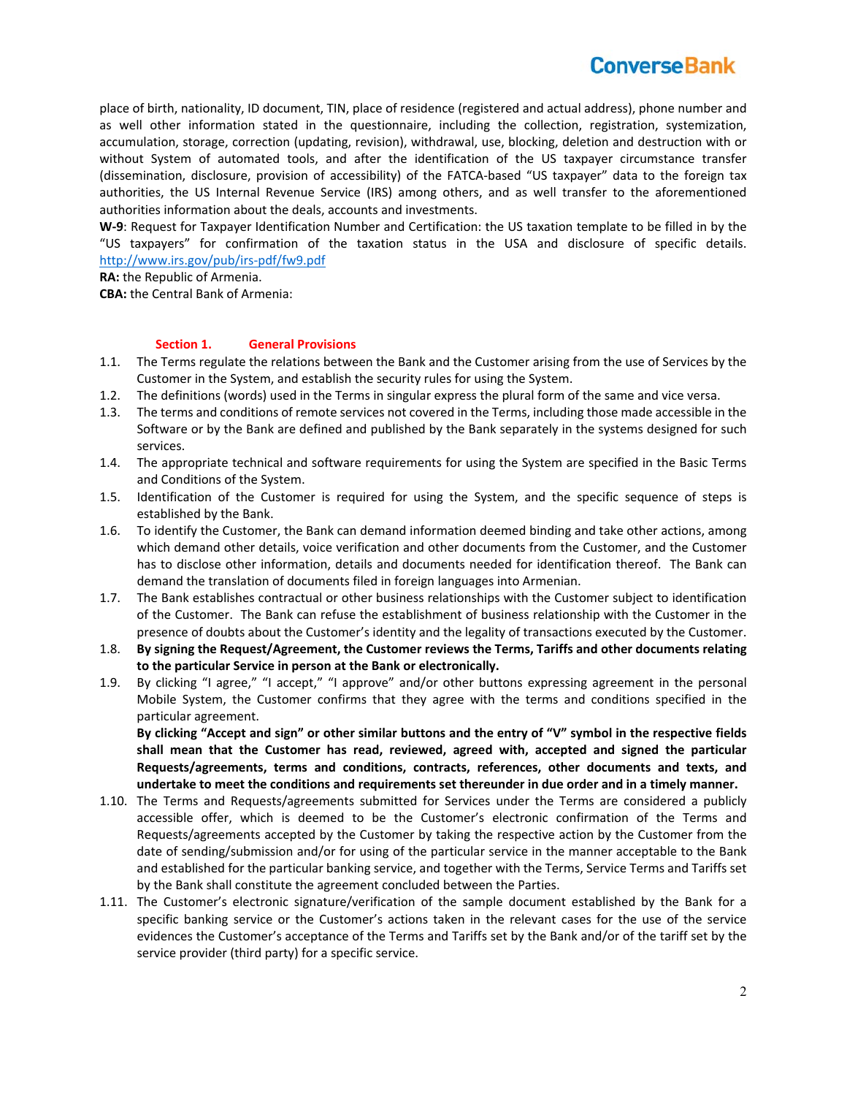place of birth, nationality, ID document, TIN, place of residence (registered and actual address), phone number and as well other information stated in the questionnaire, including the collection, registration, systemization, accumulation, storage, correction (updating, revision), withdrawal, use, blocking, deletion and destruction with or without System of automated tools, and after the identification of the US taxpayer circumstance transfer (dissemination, disclosure, provision of accessibility) of the FATCA-based "US taxpayer" data to the foreign tax authorities, the US Internal Revenue Service (IRS) among others, and as well transfer to the aforementioned authorities information about the deals, accounts and investments.

**W‐9**: Request for Taxpayer Identification Number and Certification: the US taxation template to be filled in by the "US taxpayers" for confirmation of the taxation status in the USA and disclosure of specific details. http://www.irs.gov/pub/irs‐pdf/fw9.pdf

**RA:** the Republic of Armenia.

**CBA:** the Central Bank of Armenia:

#### **Section 1. General Provisions**

- 1.1. The Terms regulate the relations between the Bank and the Customer arising from the use of Services by the Customer in the System, and establish the security rules for using the System.
- 1.2. The definitions (words) used in the Terms in singular express the plural form of the same and vice versa.
- 1.3. The terms and conditions of remote services not covered in the Terms, including those made accessible in the Software or by the Bank are defined and published by the Bank separately in the systems designed for such services.
- 1.4. The appropriate technical and software requirements for using the System are specified in the Basic Terms and Conditions of the System.
- 1.5. Identification of the Customer is required for using the System, and the specific sequence of steps is established by the Bank.
- 1.6. To identify the Customer, the Bank can demand information deemed binding and take other actions, among which demand other details, voice verification and other documents from the Customer, and the Customer has to disclose other information, details and documents needed for identification thereof. The Bank can demand the translation of documents filed in foreign languages into Armenian.
- 1.7. The Bank establishes contractual or other business relationships with the Customer subject to identification of the Customer. The Bank can refuse the establishment of business relationship with the Customer in the presence of doubts about the Customer's identity and the legality of transactions executed by the Customer.
- 1.8. **By signing the Request/Agreement, the Customer reviews the Terms, Tariffs and other documents relating to the particular Service in person at the Bank or electronically.**
- 1.9. By clicking "I agree," "I accept," "I approve" and/or other buttons expressing agreement in the personal Mobile System, the Customer confirms that they agree with the terms and conditions specified in the particular agreement.

**By clicking "Accept and sign" or other similar buttons and the entry of "V" symbol in the respective fields shall mean that the Customer has read, reviewed, agreed with, accepted and signed the particular Requests/agreements, terms and conditions, contracts, references, other documents and texts, and undertake to meet the conditions and requirements set thereunder in due order and in a timely manner.**

- 1.10. The Terms and Requests/agreements submitted for Services under the Terms are considered a publicly accessible offer, which is deemed to be the Customer's electronic confirmation of the Terms and Requests/agreements accepted by the Customer by taking the respective action by the Customer from the date of sending/submission and/or for using of the particular service in the manner acceptable to the Bank and established for the particular banking service, and together with the Terms, Service Terms and Tariffs set by the Bank shall constitute the agreement concluded between the Parties.
- 1.11. The Customer's electronic signature/verification of the sample document established by the Bank for a specific banking service or the Customer's actions taken in the relevant cases for the use of the service evidences the Customer's acceptance of the Terms and Tariffs set by the Bank and/or of the tariff set by the service provider (third party) for a specific service.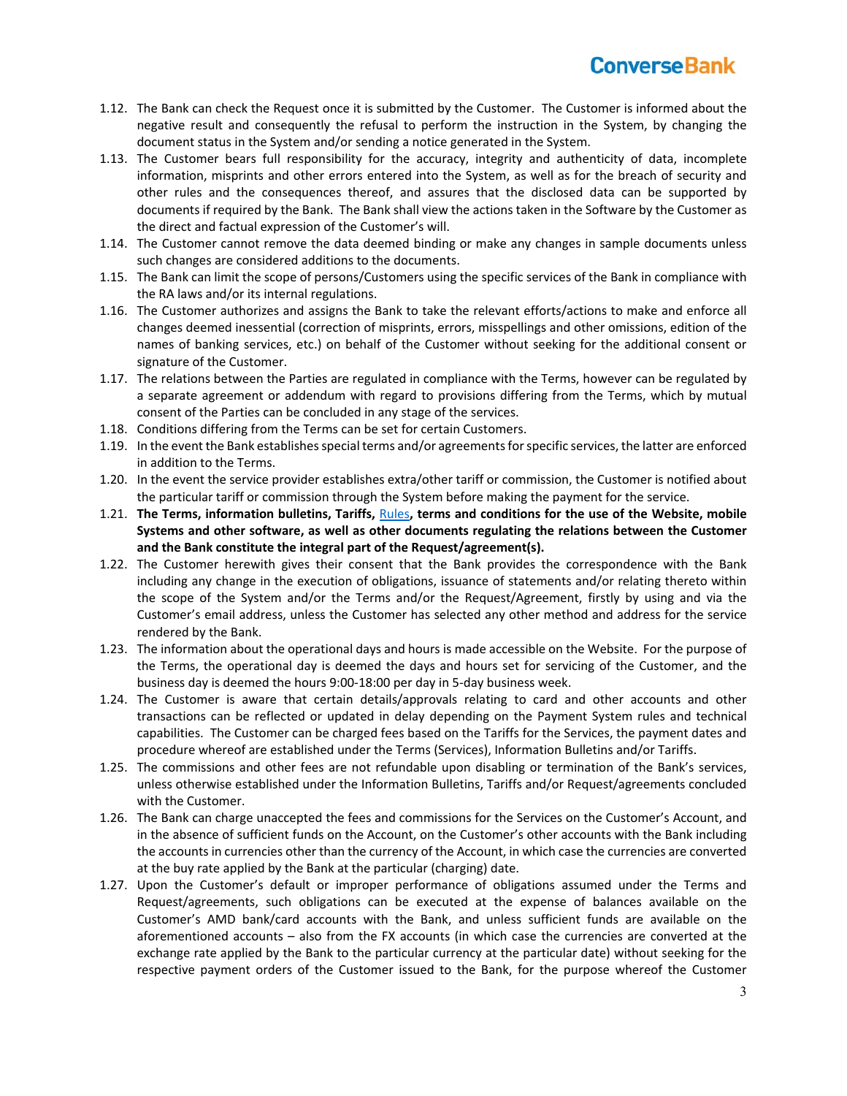- 1.12. The Bank can check the Request once it is submitted by the Customer. The Customer is informed about the negative result and consequently the refusal to perform the instruction in the System, by changing the document status in the System and/or sending a notice generated in the System.
- 1.13. The Customer bears full responsibility for the accuracy, integrity and authenticity of data, incomplete information, misprints and other errors entered into the System, as well as for the breach of security and other rules and the consequences thereof, and assures that the disclosed data can be supported by documents if required by the Bank. The Bank shall view the actions taken in the Software by the Customer as the direct and factual expression of the Customer's will.
- 1.14. The Customer cannot remove the data deemed binding or make any changes in sample documents unless such changes are considered additions to the documents.
- 1.15. The Bank can limit the scope of persons/Customers using the specific services of the Bank in compliance with the RA laws and/or its internal regulations.
- 1.16. The Customer authorizes and assigns the Bank to take the relevant efforts/actions to make and enforce all changes deemed inessential (correction of misprints, errors, misspellings and other omissions, edition of the names of banking services, etc.) on behalf of the Customer without seeking for the additional consent or signature of the Customer.
- 1.17. The relations between the Parties are regulated in compliance with the Terms, however can be regulated by a separate agreement or addendum with regard to provisions differing from the Terms, which by mutual consent of the Parties can be concluded in any stage of the services.
- 1.18. Conditions differing from the Terms can be set for certain Customers.
- 1.19. In the event the Bank establishes special terms and/or agreements for specific services, the latter are enforced in addition to the Terms.
- 1.20. In the event the service provider establishes extra/other tariff or commission, the Customer is notified about the particular tariff or commission through the System before making the payment for the service.
- 1.21. **The Terms, information bulletins, Tariffs,** Rules**, terms and conditions for the use of the Website, mobile Systems and other software, as well as other documents regulating the relations between the Customer and the Bank constitute the integral part of the Request/agreement(s).**
- 1.22. The Customer herewith gives their consent that the Bank provides the correspondence with the Bank including any change in the execution of obligations, issuance of statements and/or relating thereto within the scope of the System and/or the Terms and/or the Request/Agreement, firstly by using and via the Customer's email address, unless the Customer has selected any other method and address for the service rendered by the Bank.
- 1.23. The information about the operational days and hours is made accessible on the Website. For the purpose of the Terms, the operational day is deemed the days and hours set for servicing of the Customer, and the business day is deemed the hours 9:00‐18:00 per day in 5‐day business week.
- 1.24. The Customer is aware that certain details/approvals relating to card and other accounts and other transactions can be reflected or updated in delay depending on the Payment System rules and technical capabilities. The Customer can be charged fees based on the Tariffs for the Services, the payment dates and procedure whereof are established under the Terms (Services), Information Bulletins and/or Tariffs.
- 1.25. The commissions and other fees are not refundable upon disabling or termination of the Bank's services, unless otherwise established under the Information Bulletins, Tariffs and/or Request/agreements concluded with the Customer.
- 1.26. The Bank can charge unaccepted the fees and commissions for the Services on the Customer's Account, and in the absence of sufficient funds on the Account, on the Customer's other accounts with the Bank including the accounts in currencies other than the currency of the Account, in which case the currencies are converted at the buy rate applied by the Bank at the particular (charging) date.
- 1.27. Upon the Customer's default or improper performance of obligations assumed under the Terms and Request/agreements, such obligations can be executed at the expense of balances available on the Customer's AMD bank/card accounts with the Bank, and unless sufficient funds are available on the aforementioned accounts – also from the FX accounts (in which case the currencies are converted at the exchange rate applied by the Bank to the particular currency at the particular date) without seeking for the respective payment orders of the Customer issued to the Bank, for the purpose whereof the Customer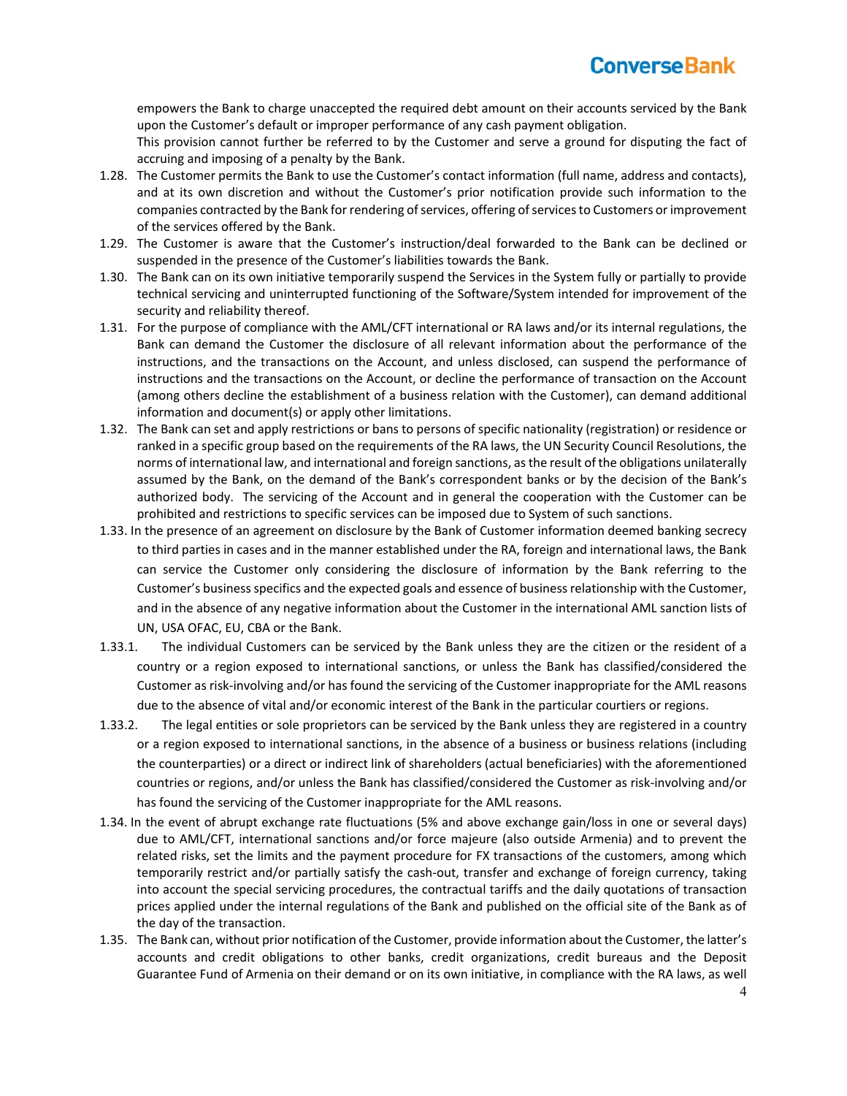empowers the Bank to charge unaccepted the required debt amount on their accounts serviced by the Bank upon the Customer's default or improper performance of any cash payment obligation.

This provision cannot further be referred to by the Customer and serve a ground for disputing the fact of accruing and imposing of a penalty by the Bank.

- 1.28. The Customer permits the Bank to use the Customer's contact information (full name, address and contacts), and at its own discretion and without the Customer's prior notification provide such information to the companies contracted by the Bank for rendering of services, offering of services to Customers or improvement of the services offered by the Bank.
- 1.29. The Customer is aware that the Customer's instruction/deal forwarded to the Bank can be declined or suspended in the presence of the Customer's liabilities towards the Bank.
- 1.30. The Bank can on its own initiative temporarily suspend the Services in the System fully or partially to provide technical servicing and uninterrupted functioning of the Software/System intended for improvement of the security and reliability thereof.
- 1.31. For the purpose of compliance with the AML/CFT international or RA laws and/or its internal regulations, the Bank can demand the Customer the disclosure of all relevant information about the performance of the instructions, and the transactions on the Account, and unless disclosed, can suspend the performance of instructions and the transactions on the Account, or decline the performance of transaction on the Account (among others decline the establishment of a business relation with the Customer), can demand additional information and document(s) or apply other limitations.
- 1.32. The Bank can set and apply restrictions or bans to persons of specific nationality (registration) or residence or ranked in a specific group based on the requirements of the RA laws, the UN Security Council Resolutions, the norms of international law, and international and foreign sanctions, as the result of the obligations unilaterally assumed by the Bank, on the demand of the Bank's correspondent banks or by the decision of the Bank's authorized body. The servicing of the Account and in general the cooperation with the Customer can be prohibited and restrictions to specific services can be imposed due to System of such sanctions.
- 1.33. In the presence of an agreement on disclosure by the Bank of Customer information deemed banking secrecy to third parties in cases and in the manner established under the RA, foreign and international laws, the Bank can service the Customer only considering the disclosure of information by the Bank referring to the Customer's business specifics and the expected goals and essence of business relationship with the Customer, and in the absence of any negative information about the Customer in the international AML sanction lists of UN, USA OFAC, EU, CBA or the Bank.
- 1.33.1. The individual Customers can be serviced by the Bank unless they are the citizen or the resident of a country or a region exposed to international sanctions, or unless the Bank has classified/considered the Customer as risk‐involving and/or has found the servicing of the Customer inappropriate for the AML reasons due to the absence of vital and/or economic interest of the Bank in the particular courtiers or regions.
- 1.33.2. The legal entities or sole proprietors can be serviced by the Bank unless they are registered in a country or a region exposed to international sanctions, in the absence of a business or business relations (including the counterparties) or a direct or indirect link of shareholders (actual beneficiaries) with the aforementioned countries or regions, and/or unless the Bank has classified/considered the Customer as risk‐involving and/or has found the servicing of the Customer inappropriate for the AML reasons.
- 1.34. In the event of abrupt exchange rate fluctuations (5% and above exchange gain/loss in one or several days) due to AML/CFT, international sanctions and/or force majeure (also outside Armenia) and to prevent the related risks, set the limits and the payment procedure for FX transactions of the customers, among which temporarily restrict and/or partially satisfy the cash‐out, transfer and exchange of foreign currency, taking into account the special servicing procedures, the contractual tariffs and the daily quotations of transaction prices applied under the internal regulations of the Bank and published on the official site of the Bank as of the day of the transaction.
- 1.35. The Bank can, without prior notification of the Customer, provide information about the Customer, the latter's accounts and credit obligations to other banks, credit organizations, credit bureaus and the Deposit Guarantee Fund of Armenia on their demand or on its own initiative, in compliance with the RA laws, as well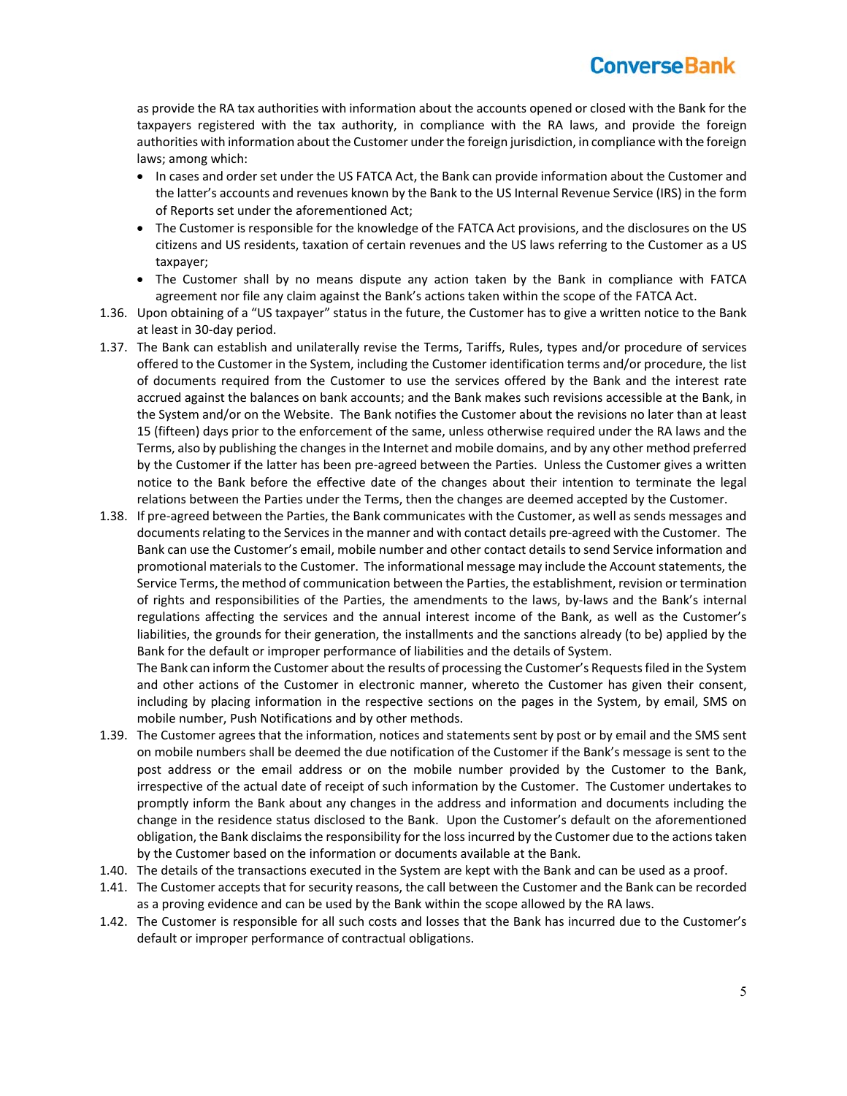as provide the RA tax authorities with information about the accounts opened or closed with the Bank for the taxpayers registered with the tax authority, in compliance with the RA laws, and provide the foreign authorities with information about the Customer under the foreign jurisdiction, in compliance with the foreign laws; among which:

- In cases and order set under the US FATCA Act, the Bank can provide information about the Customer and the latter's accounts and revenues known by the Bank to the US Internal Revenue Service (IRS) in the form of Reports set under the aforementioned Act;
- The Customer is responsible for the knowledge of the FATCA Act provisions, and the disclosures on the US citizens and US residents, taxation of certain revenues and the US laws referring to the Customer as a US taxpayer;
- The Customer shall by no means dispute any action taken by the Bank in compliance with FATCA agreement nor file any claim against the Bank's actions taken within the scope of the FATCA Act.
- 1.36. Upon obtaining of a "US taxpayer" status in the future, the Customer has to give a written notice to the Bank at least in 30‐day period.
- 1.37. The Bank can establish and unilaterally revise the Terms, Tariffs, Rules, types and/or procedure of services offered to the Customer in the System, including the Customer identification terms and/or procedure, the list of documents required from the Customer to use the services offered by the Bank and the interest rate accrued against the balances on bank accounts; and the Bank makes such revisions accessible at the Bank, in the System and/or on the Website. The Bank notifies the Customer about the revisions no later than at least 15 (fifteen) days prior to the enforcement of the same, unless otherwise required under the RA laws and the Terms, also by publishing the changes in the Internet and mobile domains, and by any other method preferred by the Customer if the latter has been pre‐agreed between the Parties. Unless the Customer gives a written notice to the Bank before the effective date of the changes about their intention to terminate the legal relations between the Parties under the Terms, then the changes are deemed accepted by the Customer.
- 1.38. If pre‐agreed between the Parties, the Bank communicates with the Customer, as well as sends messages and documents relating to the Services in the manner and with contact details pre‐agreed with the Customer. The Bank can use the Customer's email, mobile number and other contact details to send Service information and promotional materials to the Customer. The informational message may include the Account statements, the Service Terms, the method of communication between the Parties, the establishment, revision or termination of rights and responsibilities of the Parties, the amendments to the laws, by-laws and the Bank's internal regulations affecting the services and the annual interest income of the Bank, as well as the Customer's liabilities, the grounds for their generation, the installments and the sanctions already (to be) applied by the Bank for the default or improper performance of liabilities and the details of System.

The Bank can inform the Customer about the results of processing the Customer's Requests filed in the System and other actions of the Customer in electronic manner, whereto the Customer has given their consent, including by placing information in the respective sections on the pages in the System, by email, SMS on mobile number, Push Notifications and by other methods.

- 1.39. The Customer agrees that the information, notices and statements sent by post or by email and the SMS sent on mobile numbers shall be deemed the due notification of the Customer if the Bank's message is sent to the post address or the email address or on the mobile number provided by the Customer to the Bank, irrespective of the actual date of receipt of such information by the Customer. The Customer undertakes to promptly inform the Bank about any changes in the address and information and documents including the change in the residence status disclosed to the Bank. Upon the Customer's default on the aforementioned obligation, the Bank disclaims the responsibility for the loss incurred by the Customer due to the actions taken by the Customer based on the information or documents available at the Bank.
- 1.40. The details of the transactions executed in the System are kept with the Bank and can be used as a proof.
- 1.41. The Customer accepts that for security reasons, the call between the Customer and the Bank can be recorded as a proving evidence and can be used by the Bank within the scope allowed by the RA laws.
- 1.42. The Customer is responsible for all such costs and losses that the Bank has incurred due to the Customer's default or improper performance of contractual obligations.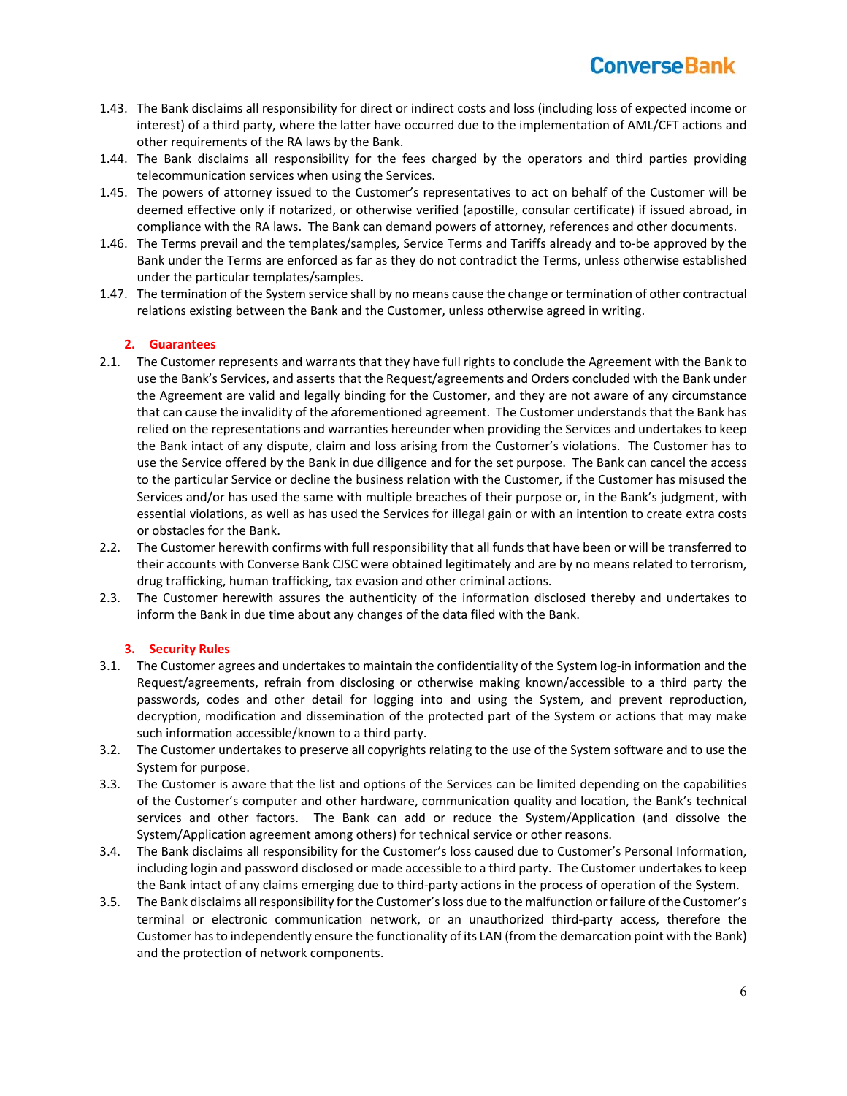- 1.43. The Bank disclaims all responsibility for direct or indirect costs and loss (including loss of expected income or interest) of a third party, where the latter have occurred due to the implementation of AML/CFT actions and other requirements of the RA laws by the Bank.
- 1.44. The Bank disclaims all responsibility for the fees charged by the operators and third parties providing telecommunication services when using the Services.
- 1.45. The powers of attorney issued to the Customer's representatives to act on behalf of the Customer will be deemed effective only if notarized, or otherwise verified (apostille, consular certificate) if issued abroad, in compliance with the RA laws. The Bank can demand powers of attorney, references and other documents.
- 1.46. The Terms prevail and the templates/samples, Service Terms and Tariffs already and to‐be approved by the Bank under the Terms are enforced as far as they do not contradict the Terms, unless otherwise established under the particular templates/samples.
- 1.47. The termination of the System service shall by no means cause the change or termination of other contractual relations existing between the Bank and the Customer, unless otherwise agreed in writing.

### **2. Guarantees**

- 2.1. The Customer represents and warrants that they have full rights to conclude the Agreement with the Bank to use the Bank's Services, and asserts that the Request/agreements and Orders concluded with the Bank under the Agreement are valid and legally binding for the Customer, and they are not aware of any circumstance that can cause the invalidity of the aforementioned agreement. The Customer understands that the Bank has relied on the representations and warranties hereunder when providing the Services and undertakes to keep the Bank intact of any dispute, claim and loss arising from the Customer's violations. The Customer has to use the Service offered by the Bank in due diligence and for the set purpose. The Bank can cancel the access to the particular Service or decline the business relation with the Customer, if the Customer has misused the Services and/or has used the same with multiple breaches of their purpose or, in the Bank's judgment, with essential violations, as well as has used the Services for illegal gain or with an intention to create extra costs or obstacles for the Bank.
- 2.2. The Customer herewith confirms with full responsibility that all funds that have been or will be transferred to their accounts with Converse Bank CJSC were obtained legitimately and are by no means related to terrorism, drug trafficking, human trafficking, tax evasion and other criminal actions.
- 2.3. The Customer herewith assures the authenticity of the information disclosed thereby and undertakes to inform the Bank in due time about any changes of the data filed with the Bank.

### **3. Security Rules**

- 3.1. The Customer agrees and undertakes to maintain the confidentiality of the System log-in information and the Request/agreements, refrain from disclosing or otherwise making known/accessible to a third party the passwords, codes and other detail for logging into and using the System, and prevent reproduction, decryption, modification and dissemination of the protected part of the System or actions that may make such information accessible/known to a third party.
- 3.2. The Customer undertakes to preserve all copyrights relating to the use of the System software and to use the System for purpose.
- 3.3. The Customer is aware that the list and options of the Services can be limited depending on the capabilities of the Customer's computer and other hardware, communication quality and location, the Bank's technical services and other factors. The Bank can add or reduce the System/Application (and dissolve the System/Application agreement among others) for technical service or other reasons.
- 3.4. The Bank disclaims all responsibility for the Customer's loss caused due to Customer's Personal Information, including login and password disclosed or made accessible to a third party. The Customer undertakes to keep the Bank intact of any claims emerging due to third‐party actions in the process of operation of the System.
- 3.5. The Bank disclaims all responsibility for the Customer's loss due to the malfunction or failure of the Customer's terminal or electronic communication network, or an unauthorized third-party access, therefore the Customer has to independently ensure the functionality of its LAN (from the demarcation point with the Bank) and the protection of network components.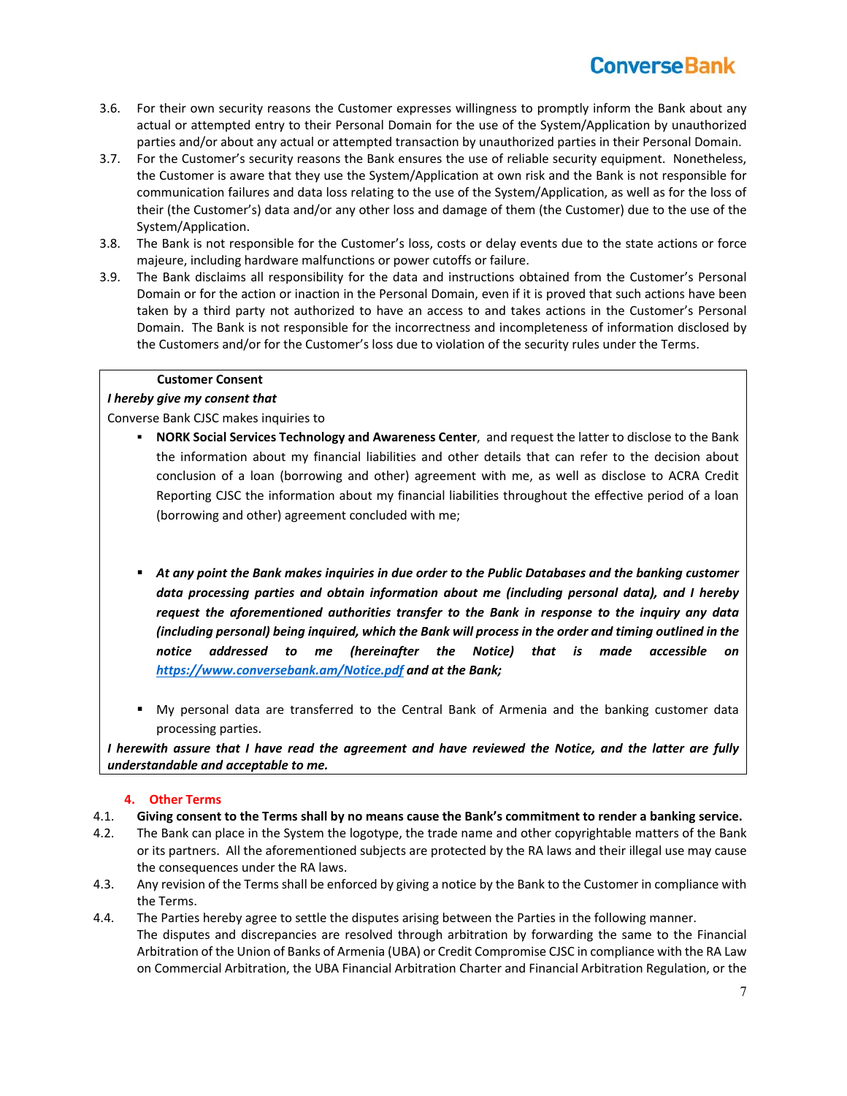- 3.6. For their own security reasons the Customer expresses willingness to promptly inform the Bank about any actual or attempted entry to their Personal Domain for the use of the System/Application by unauthorized parties and/or about any actual or attempted transaction by unauthorized parties in their Personal Domain.
- 3.7. For the Customer's security reasons the Bank ensures the use of reliable security equipment. Nonetheless, the Customer is aware that they use the System/Application at own risk and the Bank is not responsible for communication failures and data loss relating to the use of the System/Application, as well as for the loss of their (the Customer's) data and/or any other loss and damage of them (the Customer) due to the use of the System/Application.
- 3.8. The Bank is not responsible for the Customer's loss, costs or delay events due to the state actions or force majeure, including hardware malfunctions or power cutoffs or failure.
- 3.9. The Bank disclaims all responsibility for the data and instructions obtained from the Customer's Personal Domain or for the action or inaction in the Personal Domain, even if it is proved that such actions have been taken by a third party not authorized to have an access to and takes actions in the Customer's Personal Domain. The Bank is not responsible for the incorrectness and incompleteness of information disclosed by the Customers and/or for the Customer's loss due to violation of the security rules under the Terms.

#### **Customer Consent**

### *I hereby give my consent that*

Converse Bank CJSC makes inquiries to

- **NORK Social Services Technology and Awareness Center**, and request the latter to disclose to the Bank the information about my financial liabilities and other details that can refer to the decision about conclusion of a loan (borrowing and other) agreement with me, as well as disclose to ACRA Credit Reporting CJSC the information about my financial liabilities throughout the effective period of a loan (borrowing and other) agreement concluded with me;
- *At any point the Bank makes inquiries in due order to the Public Databases and the banking customer data processing parties and obtain information about me (including personal data), and I hereby request the aforementioned authorities transfer to the Bank in response to the inquiry any data (including personal) being inquired, which the Bank will process in the order and timing outlined in the notice addressed to me (hereinafter the Notice) that is made accessible on https://www.conversebank.am/Notice.pdf and at the Bank;*
- My personal data are transferred to the Central Bank of Armenia and the banking customer data processing parties.

*I herewith assure that I have read the agreement and have reviewed the Notice, and the latter are fully understandable and acceptable to me.*

#### **4. Other Terms**

- 4.1. **Giving consent to the Terms shall by no means cause the Bank's commitment to render a banking service.**
- 4.2. The Bank can place in the System the logotype, the trade name and other copyrightable matters of the Bank or its partners. All the aforementioned subjects are protected by the RA laws and their illegal use may cause the consequences under the RA laws.
- 4.3. Any revision of the Terms shall be enforced by giving a notice by the Bank to the Customer in compliance with the Terms.
- 4.4. The Parties hereby agree to settle the disputes arising between the Parties in the following manner. The disputes and discrepancies are resolved through arbitration by forwarding the same to the Financial Arbitration of the Union of Banks of Armenia (UBA) or Credit Compromise CJSC in compliance with the RA Law on Commercial Arbitration, the UBA Financial Arbitration Charter and Financial Arbitration Regulation, or the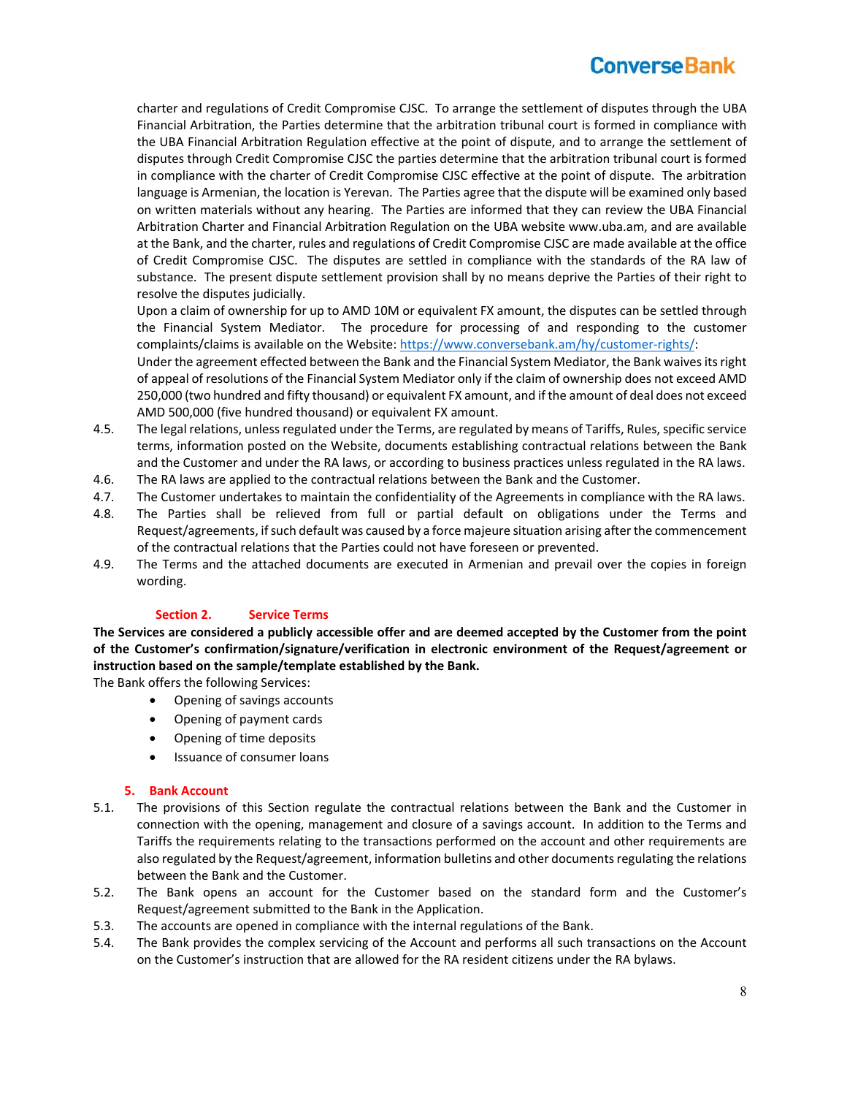charter and regulations of Credit Compromise CJSC. To arrange the settlement of disputes through the UBA Financial Arbitration, the Parties determine that the arbitration tribunal court is formed in compliance with the UBA Financial Arbitration Regulation effective at the point of dispute, and to arrange the settlement of disputes through Credit Compromise CJSC the parties determine that the arbitration tribunal court is formed in compliance with the charter of Credit Compromise CJSC effective at the point of dispute. The arbitration language is Armenian, the location is Yerevan. The Parties agree that the dispute will be examined only based on written materials without any hearing. The Parties are informed that they can review the UBA Financial Arbitration Charter and Financial Arbitration Regulation on the UBA website www.uba.am, and are available at the Bank, and the charter, rules and regulations of Credit Compromise CJSC are made available at the office of Credit Compromise CJSC. The disputes are settled in compliance with the standards of the RA law of substance. The present dispute settlement provision shall by no means deprive the Parties of their right to resolve the disputes judicially.

Upon a claim of ownership for up to AMD 10M or equivalent FX amount, the disputes can be settled through the Financial System Mediator. The procedure for processing of and responding to the customer complaints/claims is available on the Website: https://www.conversebank.am/hy/customer‐rights/:

Under the agreement effected between the Bank and the Financial System Mediator, the Bank waives its right of appeal of resolutions of the Financial System Mediator only if the claim of ownership does not exceed AMD 250,000 (two hundred and fifty thousand) or equivalent FX amount, and if the amount of deal does not exceed AMD 500,000 (five hundred thousand) or equivalent FX amount.

- 4.5. The legal relations, unless regulated under the Terms, are regulated by means of Tariffs, Rules, specific service terms, information posted on the Website, documents establishing contractual relations between the Bank and the Customer and under the RA laws, or according to business practices unless regulated in the RA laws.
- 4.6. The RA laws are applied to the contractual relations between the Bank and the Customer.
- 4.7. The Customer undertakes to maintain the confidentiality of the Agreements in compliance with the RA laws.
- 4.8. The Parties shall be relieved from full or partial default on obligations under the Terms and Request/agreements, if such default was caused by a force majeure situation arising after the commencement of the contractual relations that the Parties could not have foreseen or prevented.
- 4.9. The Terms and the attached documents are executed in Armenian and prevail over the copies in foreign wording.

### **Section 2. Service Terms**

**The Services are considered a publicly accessible offer and are deemed accepted by the Customer from the point of the Customer's confirmation/signature/verification in electronic environment of the Request/agreement or instruction based on the sample/template established by the Bank.** 

The Bank offers the following Services:

- Opening of savings accounts
- Opening of payment cards
- Opening of time deposits
- Issuance of consumer loans

### **5. Bank Account**

- 5.1. The provisions of this Section regulate the contractual relations between the Bank and the Customer in connection with the opening, management and closure of a savings account. In addition to the Terms and Tariffs the requirements relating to the transactions performed on the account and other requirements are also regulated by the Request/agreement, information bulletins and other documents regulating the relations between the Bank and the Customer.
- 5.2. The Bank opens an account for the Customer based on the standard form and the Customer's Request/agreement submitted to the Bank in the Application.
- 5.3. The accounts are opened in compliance with the internal regulations of the Bank.
- 5.4. The Bank provides the complex servicing of the Account and performs all such transactions on the Account on the Customer's instruction that are allowed for the RA resident citizens under the RA bylaws.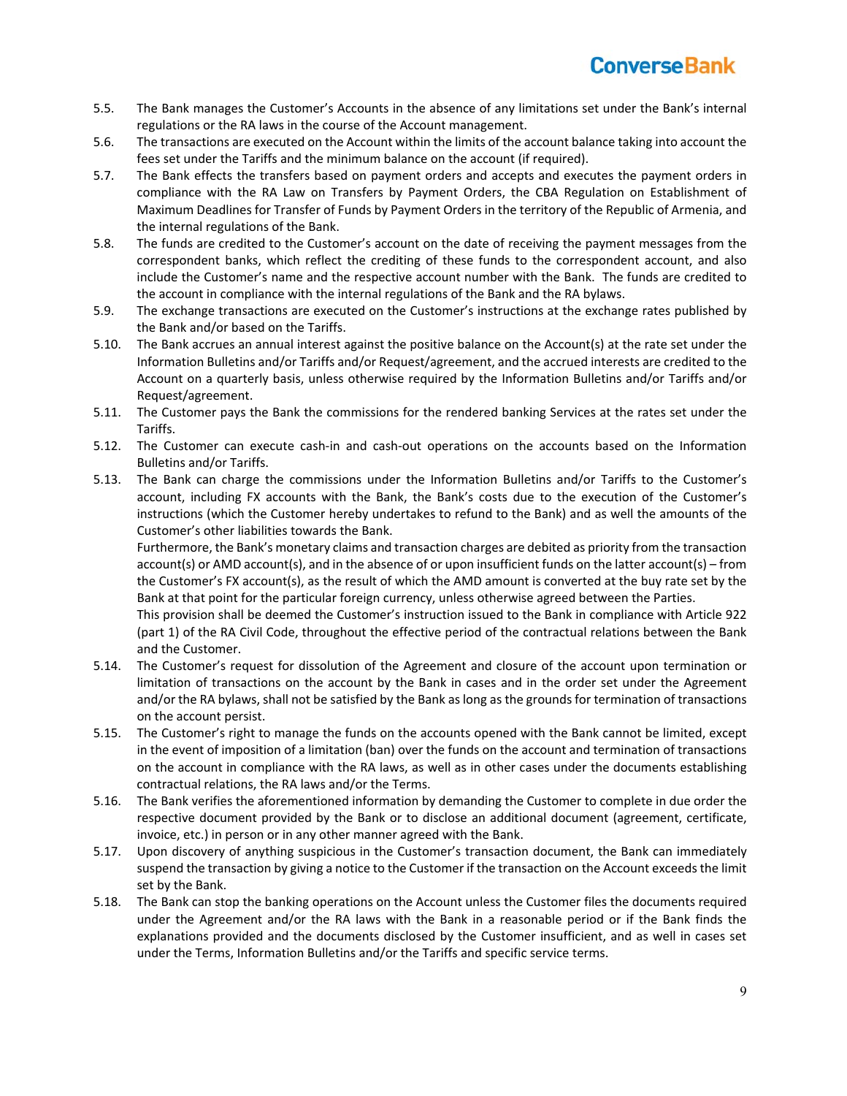- 5.5. The Bank manages the Customer's Accounts in the absence of any limitations set under the Bank's internal regulations or the RA laws in the course of the Account management.
- 5.6. The transactions are executed on the Account within the limits of the account balance taking into account the fees set under the Tariffs and the minimum balance on the account (if required).
- 5.7. The Bank effects the transfers based on payment orders and accepts and executes the payment orders in compliance with the RA Law on Transfers by Payment Orders, the CBA Regulation on Establishment of Maximum Deadlines for Transfer of Funds by Payment Orders in the territory of the Republic of Armenia, and the internal regulations of the Bank.
- 5.8. The funds are credited to the Customer's account on the date of receiving the payment messages from the correspondent banks, which reflect the crediting of these funds to the correspondent account, and also include the Customer's name and the respective account number with the Bank. The funds are credited to the account in compliance with the internal regulations of the Bank and the RA bylaws.
- 5.9. The exchange transactions are executed on the Customer's instructions at the exchange rates published by the Bank and/or based on the Tariffs.
- 5.10. The Bank accrues an annual interest against the positive balance on the Account(s) at the rate set under the Information Bulletins and/or Tariffs and/or Request/agreement, and the accrued interests are credited to the Account on a quarterly basis, unless otherwise required by the Information Bulletins and/or Tariffs and/or Request/agreement.
- 5.11. The Customer pays the Bank the commissions for the rendered banking Services at the rates set under the Tariffs.
- 5.12. The Customer can execute cash‐in and cash‐out operations on the accounts based on the Information Bulletins and/or Tariffs.
- 5.13. The Bank can charge the commissions under the Information Bulletins and/or Tariffs to the Customer's account, including FX accounts with the Bank, the Bank's costs due to the execution of the Customer's instructions (which the Customer hereby undertakes to refund to the Bank) and as well the amounts of the Customer's other liabilities towards the Bank.

Furthermore, the Bank's monetary claims and transaction charges are debited as priority from the transaction account(s) or AMD account(s), and in the absence of or upon insufficient funds on the latter account(s) – from the Customer's FX account(s), as the result of which the AMD amount is converted at the buy rate set by the Bank at that point for the particular foreign currency, unless otherwise agreed between the Parties.

This provision shall be deemed the Customer's instruction issued to the Bank in compliance with Article 922 (part 1) of the RA Civil Code, throughout the effective period of the contractual relations between the Bank and the Customer.

- 5.14. The Customer's request for dissolution of the Agreement and closure of the account upon termination or limitation of transactions on the account by the Bank in cases and in the order set under the Agreement and/or the RA bylaws, shall not be satisfied by the Bank as long as the grounds for termination of transactions on the account persist.
- 5.15. The Customer's right to manage the funds on the accounts opened with the Bank cannot be limited, except in the event of imposition of a limitation (ban) over the funds on the account and termination of transactions on the account in compliance with the RA laws, as well as in other cases under the documents establishing contractual relations, the RA laws and/or the Terms.
- 5.16. The Bank verifies the aforementioned information by demanding the Customer to complete in due order the respective document provided by the Bank or to disclose an additional document (agreement, certificate, invoice, etc.) in person or in any other manner agreed with the Bank.
- 5.17. Upon discovery of anything suspicious in the Customer's transaction document, the Bank can immediately suspend the transaction by giving a notice to the Customer if the transaction on the Account exceeds the limit set by the Bank.
- 5.18. The Bank can stop the banking operations on the Account unless the Customer files the documents required under the Agreement and/or the RA laws with the Bank in a reasonable period or if the Bank finds the explanations provided and the documents disclosed by the Customer insufficient, and as well in cases set under the Terms, Information Bulletins and/or the Tariffs and specific service terms.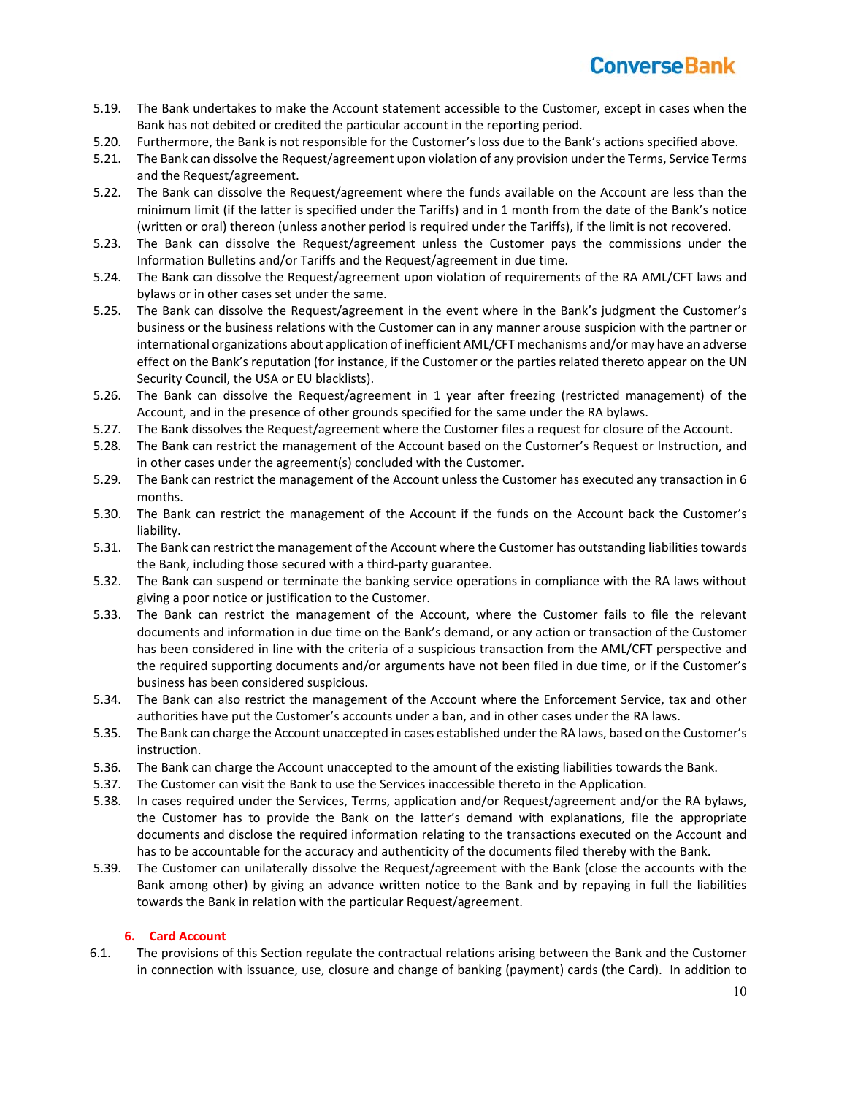

- 5.19. The Bank undertakes to make the Account statement accessible to the Customer, except in cases when the Bank has not debited or credited the particular account in the reporting period.
- 5.20. Furthermore, the Bank is not responsible for the Customer's loss due to the Bank's actions specified above.
- 5.21. The Bank can dissolve the Request/agreement upon violation of any provision under the Terms, Service Terms and the Request/agreement.
- 5.22. The Bank can dissolve the Request/agreement where the funds available on the Account are less than the minimum limit (if the latter is specified under the Tariffs) and in 1 month from the date of the Bank's notice (written or oral) thereon (unless another period is required under the Tariffs), if the limit is not recovered.
- 5.23. The Bank can dissolve the Request/agreement unless the Customer pays the commissions under the Information Bulletins and/or Tariffs and the Request/agreement in due time.
- 5.24. The Bank can dissolve the Request/agreement upon violation of requirements of the RA AML/CFT laws and bylaws or in other cases set under the same.
- 5.25. The Bank can dissolve the Request/agreement in the event where in the Bank's judgment the Customer's business or the business relations with the Customer can in any manner arouse suspicion with the partner or international organizations about application of inefficient AML/CFT mechanisms and/or may have an adverse effect on the Bank's reputation (for instance, if the Customer or the parties related thereto appear on the UN Security Council, the USA or EU blacklists).
- 5.26. The Bank can dissolve the Request/agreement in 1 year after freezing (restricted management) of the Account, and in the presence of other grounds specified for the same under the RA bylaws.
- 5.27. The Bank dissolves the Request/agreement where the Customer files a request for closure of the Account.
- 5.28. The Bank can restrict the management of the Account based on the Customer's Request or Instruction, and in other cases under the agreement(s) concluded with the Customer.
- 5.29. The Bank can restrict the management of the Account unless the Customer has executed any transaction in 6 months.
- 5.30. The Bank can restrict the management of the Account if the funds on the Account back the Customer's liability.
- 5.31. The Bank can restrict the management of the Account where the Customer has outstanding liabilities towards the Bank, including those secured with a third‐party guarantee.
- 5.32. The Bank can suspend or terminate the banking service operations in compliance with the RA laws without giving a poor notice or justification to the Customer.
- 5.33. The Bank can restrict the management of the Account, where the Customer fails to file the relevant documents and information in due time on the Bank's demand, or any action or transaction of the Customer has been considered in line with the criteria of a suspicious transaction from the AML/CFT perspective and the required supporting documents and/or arguments have not been filed in due time, or if the Customer's business has been considered suspicious.
- 5.34. The Bank can also restrict the management of the Account where the Enforcement Service, tax and other authorities have put the Customer's accounts under a ban, and in other cases under the RA laws.
- 5.35. The Bank can charge the Account unaccepted in cases established under the RA laws, based on the Customer's instruction.
- 5.36. The Bank can charge the Account unaccepted to the amount of the existing liabilities towards the Bank.
- 5.37. The Customer can visit the Bank to use the Services inaccessible thereto in the Application.
- 5.38. In cases required under the Services, Terms, application and/or Request/agreement and/or the RA bylaws, the Customer has to provide the Bank on the latter's demand with explanations, file the appropriate documents and disclose the required information relating to the transactions executed on the Account and has to be accountable for the accuracy and authenticity of the documents filed thereby with the Bank.
- 5.39. The Customer can unilaterally dissolve the Request/agreement with the Bank (close the accounts with the Bank among other) by giving an advance written notice to the Bank and by repaying in full the liabilities towards the Bank in relation with the particular Request/agreement.

#### **6. Card Account**

6.1. The provisions of this Section regulate the contractual relations arising between the Bank and the Customer in connection with issuance, use, closure and change of banking (payment) cards (the Card). In addition to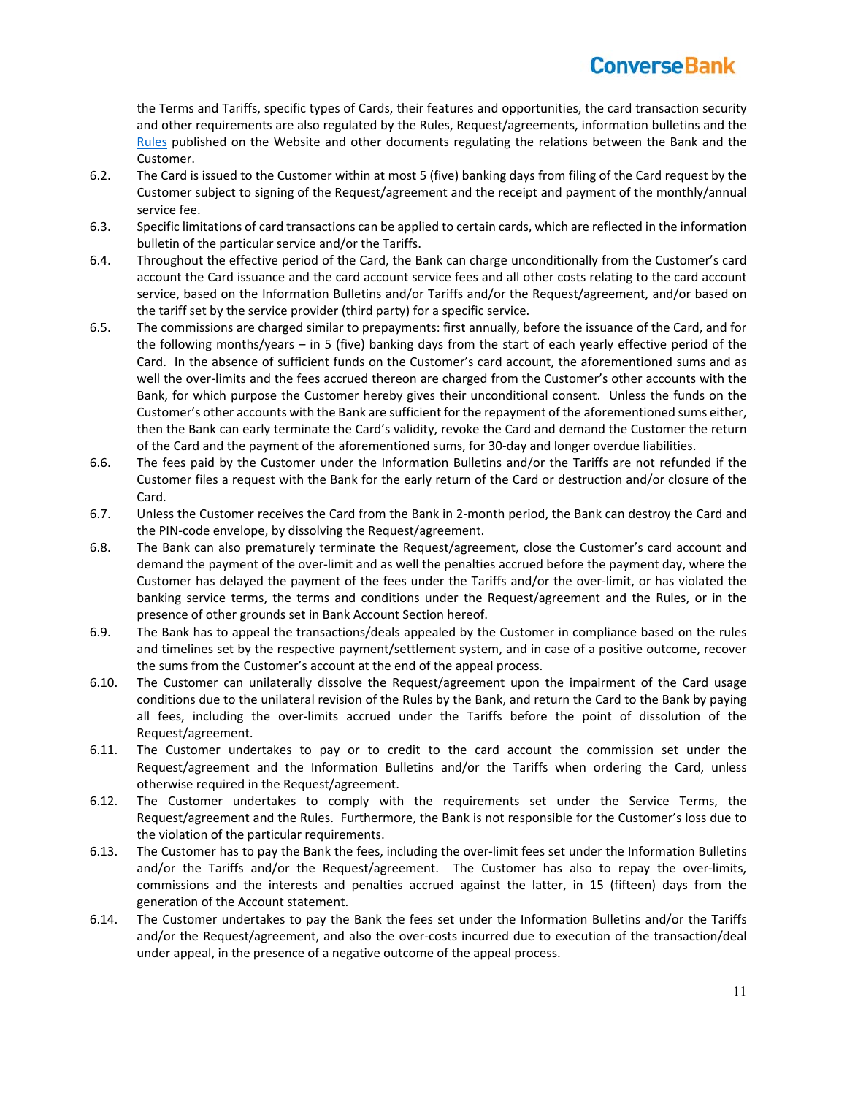the Terms and Tariffs, specific types of Cards, their features and opportunities, the card transaction security and other requirements are also regulated by the Rules, Request/agreements, information bulletins and the Rules published on the Website and other documents regulating the relations between the Bank and the Customer.

- 6.2. The Card is issued to the Customer within at most 5 (five) banking days from filing of the Card request by the Customer subject to signing of the Request/agreement and the receipt and payment of the monthly/annual service fee.
- 6.3. Specific limitations of card transactions can be applied to certain cards, which are reflected in the information bulletin of the particular service and/or the Tariffs.
- 6.4. Throughout the effective period of the Card, the Bank can charge unconditionally from the Customer's card account the Card issuance and the card account service fees and all other costs relating to the card account service, based on the Information Bulletins and/or Tariffs and/or the Request/agreement, and/or based on the tariff set by the service provider (third party) for a specific service.
- 6.5. The commissions are charged similar to prepayments: first annually, before the issuance of the Card, and for the following months/years – in 5 (five) banking days from the start of each yearly effective period of the Card. In the absence of sufficient funds on the Customer's card account, the aforementioned sums and as well the over-limits and the fees accrued thereon are charged from the Customer's other accounts with the Bank, for which purpose the Customer hereby gives their unconditional consent. Unless the funds on the Customer's other accounts with the Bank are sufficient for the repayment of the aforementioned sums either, then the Bank can early terminate the Card's validity, revoke the Card and demand the Customer the return of the Card and the payment of the aforementioned sums, for 30‐day and longer overdue liabilities.
- 6.6. The fees paid by the Customer under the Information Bulletins and/or the Tariffs are not refunded if the Customer files a request with the Bank for the early return of the Card or destruction and/or closure of the Card.
- 6.7. Unless the Customer receives the Card from the Bank in 2‐month period, the Bank can destroy the Card and the PIN‐code envelope, by dissolving the Request/agreement.
- 6.8. The Bank can also prematurely terminate the Request/agreement, close the Customer's card account and demand the payment of the over‐limit and as well the penalties accrued before the payment day, where the Customer has delayed the payment of the fees under the Tariffs and/or the over‐limit, or has violated the banking service terms, the terms and conditions under the Request/agreement and the Rules, or in the presence of other grounds set in Bank Account Section hereof.
- 6.9. The Bank has to appeal the transactions/deals appealed by the Customer in compliance based on the rules and timelines set by the respective payment/settlement system, and in case of a positive outcome, recover the sums from the Customer's account at the end of the appeal process.
- 6.10. The Customer can unilaterally dissolve the Request/agreement upon the impairment of the Card usage conditions due to the unilateral revision of the Rules by the Bank, and return the Card to the Bank by paying all fees, including the over‐limits accrued under the Tariffs before the point of dissolution of the Request/agreement.
- 6.11. The Customer undertakes to pay or to credit to the card account the commission set under the Request/agreement and the Information Bulletins and/or the Tariffs when ordering the Card, unless otherwise required in the Request/agreement.
- 6.12. The Customer undertakes to comply with the requirements set under the Service Terms, the Request/agreement and the Rules. Furthermore, the Bank is not responsible for the Customer's loss due to the violation of the particular requirements.
- 6.13. The Customer has to pay the Bank the fees, including the over‐limit fees set under the Information Bulletins and/or the Tariffs and/or the Request/agreement. The Customer has also to repay the over-limits, commissions and the interests and penalties accrued against the latter, in 15 (fifteen) days from the generation of the Account statement.
- 6.14. The Customer undertakes to pay the Bank the fees set under the Information Bulletins and/or the Tariffs and/or the Request/agreement, and also the over-costs incurred due to execution of the transaction/deal under appeal, in the presence of a negative outcome of the appeal process.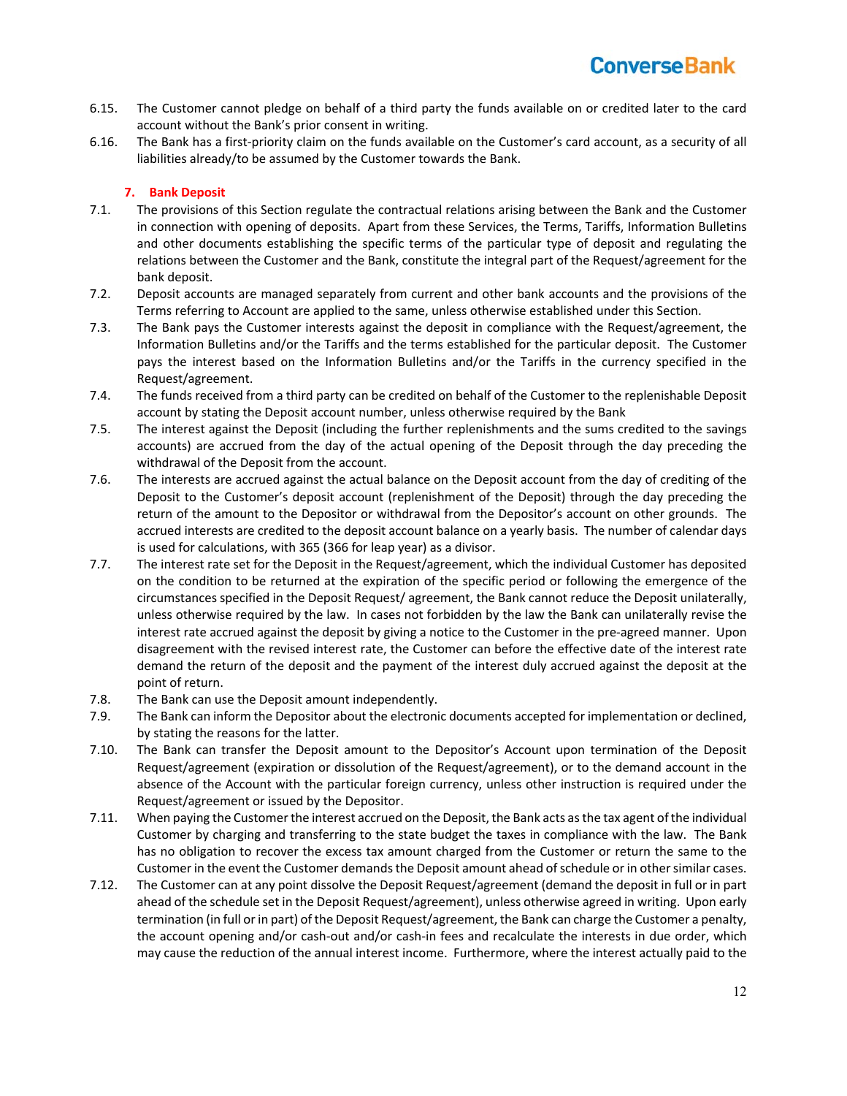- 6.15. The Customer cannot pledge on behalf of a third party the funds available on or credited later to the card account without the Bank's prior consent in writing.
- 6.16. The Bank has a first‐priority claim on the funds available on the Customer's card account, as a security of all liabilities already/to be assumed by the Customer towards the Bank.

### **7. Bank Deposit**

- 7.1. The provisions of this Section regulate the contractual relations arising between the Bank and the Customer in connection with opening of deposits. Apart from these Services, the Terms, Tariffs, Information Bulletins and other documents establishing the specific terms of the particular type of deposit and regulating the relations between the Customer and the Bank, constitute the integral part of the Request/agreement for the bank deposit.
- 7.2. Deposit accounts are managed separately from current and other bank accounts and the provisions of the Terms referring to Account are applied to the same, unless otherwise established under this Section.
- 7.3. The Bank pays the Customer interests against the deposit in compliance with the Request/agreement, the Information Bulletins and/or the Tariffs and the terms established for the particular deposit. The Customer pays the interest based on the Information Bulletins and/or the Tariffs in the currency specified in the Request/agreement.
- 7.4. The funds received from a third party can be credited on behalf of the Customer to the replenishable Deposit account by stating the Deposit account number, unless otherwise required by the Bank
- 7.5. The interest against the Deposit (including the further replenishments and the sums credited to the savings accounts) are accrued from the day of the actual opening of the Deposit through the day preceding the withdrawal of the Deposit from the account.
- 7.6. The interests are accrued against the actual balance on the Deposit account from the day of crediting of the Deposit to the Customer's deposit account (replenishment of the Deposit) through the day preceding the return of the amount to the Depositor or withdrawal from the Depositor's account on other grounds. The accrued interests are credited to the deposit account balance on a yearly basis. The number of calendar days is used for calculations, with 365 (366 for leap year) as a divisor.
- 7.7. The interest rate set for the Deposit in the Request/agreement, which the individual Customer has deposited on the condition to be returned at the expiration of the specific period or following the emergence of the circumstances specified in the Deposit Request/ agreement, the Bank cannot reduce the Deposit unilaterally, unless otherwise required by the law. In cases not forbidden by the law the Bank can unilaterally revise the interest rate accrued against the deposit by giving a notice to the Customer in the pre-agreed manner. Upon disagreement with the revised interest rate, the Customer can before the effective date of the interest rate demand the return of the deposit and the payment of the interest duly accrued against the deposit at the point of return.
- 7.8. The Bank can use the Deposit amount independently.
- 7.9. The Bank can inform the Depositor about the electronic documents accepted for implementation or declined, by stating the reasons for the latter.
- 7.10. The Bank can transfer the Deposit amount to the Depositor's Account upon termination of the Deposit Request/agreement (expiration or dissolution of the Request/agreement), or to the demand account in the absence of the Account with the particular foreign currency, unless other instruction is required under the Request/agreement or issued by the Depositor.
- 7.11. When paying the Customer the interest accrued on the Deposit, the Bank acts as the tax agent of the individual Customer by charging and transferring to the state budget the taxes in compliance with the law. The Bank has no obligation to recover the excess tax amount charged from the Customer or return the same to the Customer in the event the Customer demands the Deposit amount ahead of schedule or in other similar cases.
- 7.12. The Customer can at any point dissolve the Deposit Request/agreement (demand the deposit in full or in part ahead of the schedule set in the Deposit Request/agreement), unless otherwise agreed in writing. Upon early termination (in full or in part) of the Deposit Request/agreement, the Bank can charge the Customer a penalty, the account opening and/or cash-out and/or cash-in fees and recalculate the interests in due order, which may cause the reduction of the annual interest income. Furthermore, where the interest actually paid to the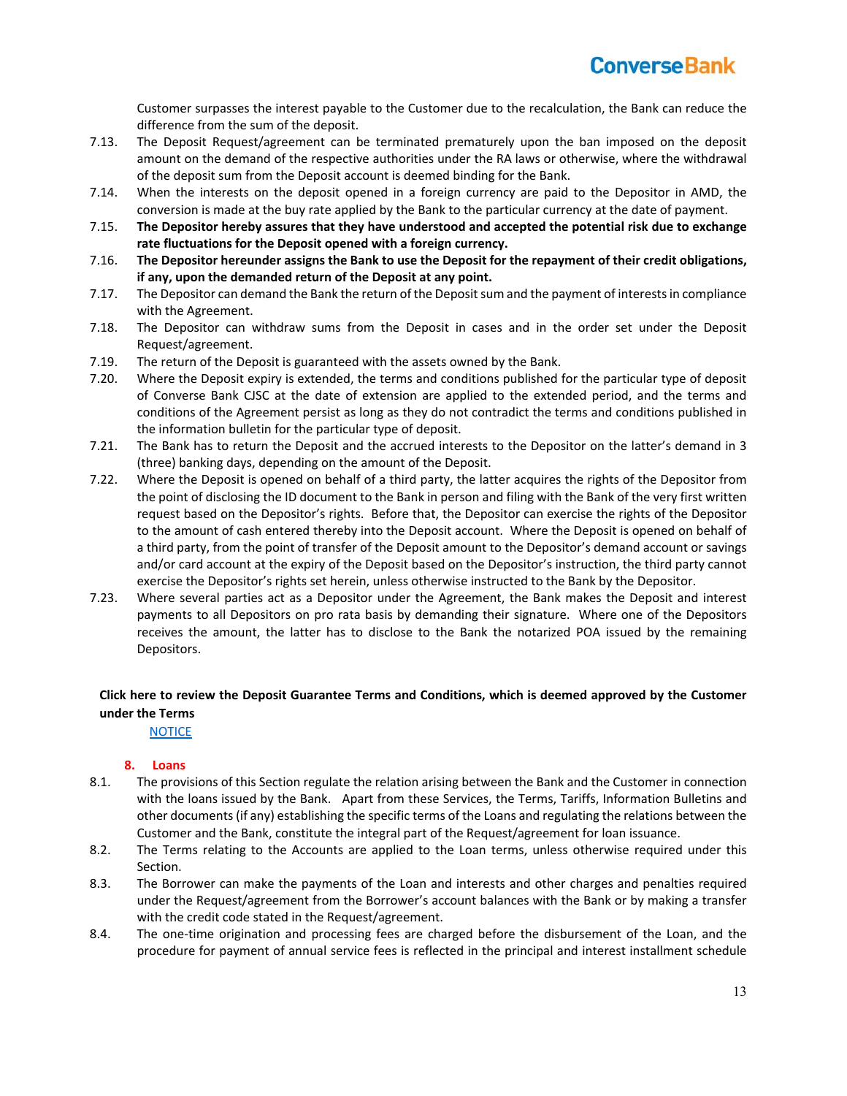Customer surpasses the interest payable to the Customer due to the recalculation, the Bank can reduce the difference from the sum of the deposit.

- 7.13. The Deposit Request/agreement can be terminated prematurely upon the ban imposed on the deposit amount on the demand of the respective authorities under the RA laws or otherwise, where the withdrawal of the deposit sum from the Deposit account is deemed binding for the Bank.
- 7.14. When the interests on the deposit opened in a foreign currency are paid to the Depositor in AMD, the conversion is made at the buy rate applied by the Bank to the particular currency at the date of payment.
- 7.15. **The Depositor hereby assures that they have understood and accepted the potential risk due to exchange rate fluctuations for the Deposit opened with a foreign currency.**
- 7.16. **The Depositor hereunder assigns the Bank to use the Deposit for the repayment of their credit obligations, if any, upon the demanded return of the Deposit at any point.**
- 7.17. The Depositor can demand the Bank the return of the Deposit sum and the payment of interests in compliance with the Agreement.
- 7.18. The Depositor can withdraw sums from the Deposit in cases and in the order set under the Deposit Request/agreement.
- 7.19. The return of the Deposit is guaranteed with the assets owned by the Bank.
- 7.20. Where the Deposit expiry is extended, the terms and conditions published for the particular type of deposit of Converse Bank CJSC at the date of extension are applied to the extended period, and the terms and conditions of the Agreement persist as long as they do not contradict the terms and conditions published in the information bulletin for the particular type of deposit.
- 7.21. The Bank has to return the Deposit and the accrued interests to the Depositor on the latter's demand in 3 (three) banking days, depending on the amount of the Deposit.
- 7.22. Where the Deposit is opened on behalf of a third party, the latter acquires the rights of the Depositor from the point of disclosing the ID document to the Bank in person and filing with the Bank of the very first written request based on the Depositor's rights. Before that, the Depositor can exercise the rights of the Depositor to the amount of cash entered thereby into the Deposit account. Where the Deposit is opened on behalf of a third party, from the point of transfer of the Deposit amount to the Depositor's demand account or savings and/or card account at the expiry of the Deposit based on the Depositor's instruction, the third party cannot exercise the Depositor's rights set herein, unless otherwise instructed to the Bank by the Depositor.
- 7.23. Where several parties act as a Depositor under the Agreement, the Bank makes the Deposit and interest payments to all Depositors on pro rata basis by demanding their signature. Where one of the Depositors receives the amount, the latter has to disclose to the Bank the notarized POA issued by the remaining Depositors.

### **Click here to review the Deposit Guarantee Terms and Conditions, which is deemed approved by the Customer under the Terms**

**NOTICE** 

### **8. Loans**

- 8.1. The provisions of this Section regulate the relation arising between the Bank and the Customer in connection with the loans issued by the Bank. Apart from these Services, the Terms, Tariffs, Information Bulletins and other documents (if any) establishing the specific terms of the Loans and regulating the relations between the Customer and the Bank, constitute the integral part of the Request/agreement for loan issuance.
- 8.2. The Terms relating to the Accounts are applied to the Loan terms, unless otherwise required under this Section.
- 8.3. The Borrower can make the payments of the Loan and interests and other charges and penalties required under the Request/agreement from the Borrower's account balances with the Bank or by making a transfer with the credit code stated in the Request/agreement.
- 8.4. The one-time origination and processing fees are charged before the disbursement of the Loan, and the procedure for payment of annual service fees is reflected in the principal and interest installment schedule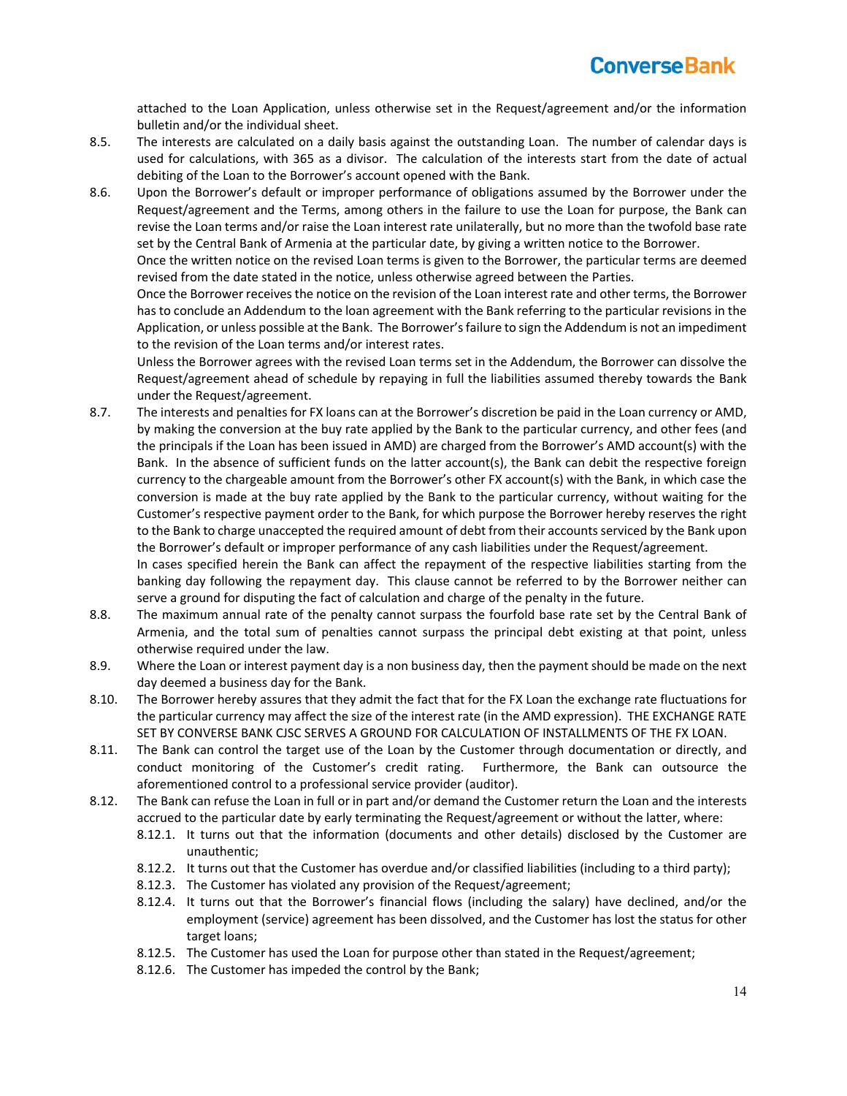attached to the Loan Application, unless otherwise set in the Request/agreement and/or the information bulletin and/or the individual sheet.

- 8.5. The interests are calculated on a daily basis against the outstanding Loan. The number of calendar days is used for calculations, with 365 as a divisor. The calculation of the interests start from the date of actual debiting of the Loan to the Borrower's account opened with the Bank.
- 8.6. Upon the Borrower's default or improper performance of obligations assumed by the Borrower under the Request/agreement and the Terms, among others in the failure to use the Loan for purpose, the Bank can revise the Loan terms and/or raise the Loan interest rate unilaterally, but no more than the twofold base rate set by the Central Bank of Armenia at the particular date, by giving a written notice to the Borrower.

Once the written notice on the revised Loan terms is given to the Borrower, the particular terms are deemed revised from the date stated in the notice, unless otherwise agreed between the Parties.

Once the Borrower receives the notice on the revision of the Loan interest rate and other terms, the Borrower has to conclude an Addendum to the loan agreement with the Bank referring to the particular revisions in the Application, or unless possible at the Bank. The Borrower's failure to sign the Addendum is not an impediment to the revision of the Loan terms and/or interest rates.

Unless the Borrower agrees with the revised Loan terms set in the Addendum, the Borrower can dissolve the Request/agreement ahead of schedule by repaying in full the liabilities assumed thereby towards the Bank under the Request/agreement.

8.7. The interests and penalties for FX loans can at the Borrower's discretion be paid in the Loan currency or AMD, by making the conversion at the buy rate applied by the Bank to the particular currency, and other fees (and the principals if the Loan has been issued in AMD) are charged from the Borrower's AMD account(s) with the Bank. In the absence of sufficient funds on the latter account(s), the Bank can debit the respective foreign currency to the chargeable amount from the Borrower's other FX account(s) with the Bank, in which case the conversion is made at the buy rate applied by the Bank to the particular currency, without waiting for the Customer's respective payment order to the Bank, for which purpose the Borrower hereby reserves the right to the Bank to charge unaccepted the required amount of debt from their accounts serviced by the Bank upon the Borrower's default or improper performance of any cash liabilities under the Request/agreement. In cases specified herein the Bank can affect the repayment of the respective liabilities starting from the

banking day following the repayment day. This clause cannot be referred to by the Borrower neither can serve a ground for disputing the fact of calculation and charge of the penalty in the future.

- 8.8. The maximum annual rate of the penalty cannot surpass the fourfold base rate set by the Central Bank of Armenia, and the total sum of penalties cannot surpass the principal debt existing at that point, unless otherwise required under the law.
- 8.9. Where the Loan or interest payment day is a non business day, then the payment should be made on the next day deemed a business day for the Bank.
- 8.10. The Borrower hereby assures that they admit the fact that for the FX Loan the exchange rate fluctuations for the particular currency may affect the size of the interest rate (in the AMD expression). THE EXCHANGE RATE SET BY CONVERSE BANK CJSC SERVES A GROUND FOR CALCULATION OF INSTALLMENTS OF THE FX LOAN.
- 8.11. The Bank can control the target use of the Loan by the Customer through documentation or directly, and conduct monitoring of the Customer's credit rating. Furthermore, the Bank can outsource the aforementioned control to a professional service provider (auditor).
- 8.12. The Bank can refuse the Loan in full or in part and/or demand the Customer return the Loan and the interests accrued to the particular date by early terminating the Request/agreement or without the latter, where:
	- 8.12.1. It turns out that the information (documents and other details) disclosed by the Customer are unauthentic;
	- 8.12.2. It turns out that the Customer has overdue and/or classified liabilities (including to a third party);
	- 8.12.3. The Customer has violated any provision of the Request/agreement;
	- 8.12.4. It turns out that the Borrower's financial flows (including the salary) have declined, and/or the employment (service) agreement has been dissolved, and the Customer has lost the status for other target loans;
	- 8.12.5. The Customer has used the Loan for purpose other than stated in the Request/agreement;
	- 8.12.6. The Customer has impeded the control by the Bank;